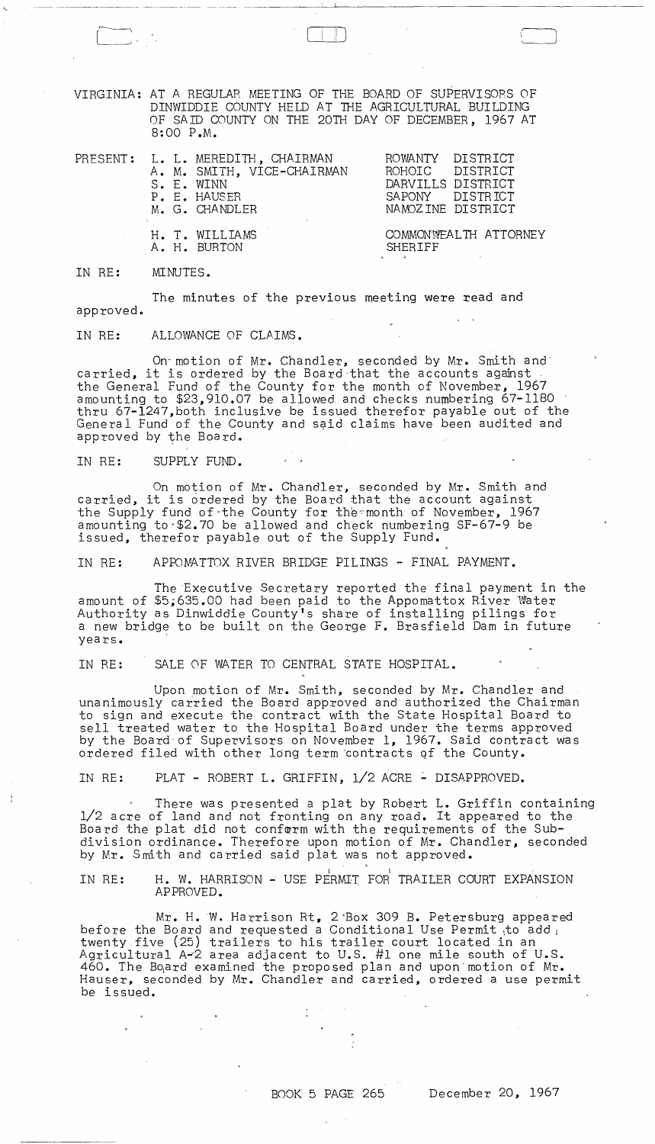VIRGINIA: AT A REGULAR MEETING OF THE BOARD OF SUPERVISORS OF DINWIDDIE COUNTY HELD AT THE AGRICULTURAL BUILDING OF SAID COUNTY ON THE 20TH DAY OF DECEMBER, 1967 AT 8:00 P.M.

----------- -~ --~--~ -------- -----~~~----"---~---------------~-~

 $\begin{pmatrix} 1 & 1 & 1 \\ 1 & 1 & 1 \end{pmatrix}$ 

I I I I I \. )

|  | PRESENT: L. L. MEREDITH, CHAIRMAN<br>A. M. SMITH, VICE-CHAIRMAN<br>S. E. WINN<br>P. E. HAUSER<br>M. G. CHANDLER | ROWANTY DISTRICT<br>ROHOIC DISTRICT<br>DARVILLS DISTRICT<br>SAPONY DISTRICT<br>NAMOZINE DISTRICT                                                                                                                                                                      |
|--|-----------------------------------------------------------------------------------------------------------------|-----------------------------------------------------------------------------------------------------------------------------------------------------------------------------------------------------------------------------------------------------------------------|
|  | H. T. WILLIAMS<br>A. H. BURTON                                                                                  | COMMONWEALTH ATTORNEY<br>SHERIFF<br>$\mathbf{u}$ , and a set of the set of the set of the set of the set of the set of the set of the set of the set of the set of the set of the set of the set of the set of the set of the set of the set of the set of the set of |

IN RE: MINUTES.

The minutes of the previous meeting were read and approved.

IN RE: ALLOWANCE OF CLAIMS.

On'motion of Mr. Chandler, seconded by Mr. Smith and' carried, it is ordered by the Board-that the accounts aganst the General Fund of the County for the month of November, 1967 amounting to \$23,910.07 be allowed and checks numbering 67-1180 thru 67-1247,both inclusive be issued therefor payable out of the General Fund of the County and s9id claims have been audited and approved by the Board.

IN RE: SUPPLY FUND.

 $\sim$   $\sim$ 

 $\epsilon$ 

÷

On motion of Mr. Chandler, seconded by Mr. Smith and carried, it is ordered by the Board that the account against the Supply fund of the County for the month of November, 1967 amounting to-\$2.70 be allowed and check numbering SF-67-9 be issued, therefor payable out of the Supply Fund.

IN RE: APPOMATTOX RIVER BRIDGE PILINGS - FINAL PAYMENT.

The Executive Secretary reported the final payment in the amount of \$5,635.00 had been paid to the Appomattox River Water Authority as Dinwiddie County's share of installing pilings for a new bridge to be built on the George F. Brasfield Dam in future years.

IN RE: SALE OF WATER TO CENTRAL STATE HOSPITAL.

Upon motion of Mr. Smith, seconded by Mr. Chandler and unanimously carried the Board approved and authorized the Chairman to sign and execute the contract with the State Hospital Board to sell treated water to the Hospital Board under the terms approved by the Board'of Supervisors on November 1, 1967. Said contract was ordered filed with other long term 'contracts qf the County.

IN RE: PLAT - ROBERT L. GRIFFIN, 1/2 ACRE - DISAPPROVED.

There was presented a plat by Robert L. Griffin containing 1/2 acre of land and not fronting on any road. It appeared to the Board the plat did not conform with the requirements of the Subdivision ordinance. Therefore upon motion of Mr. Chandler, seconded by Mr. Smith and carried said plat was not approved.

IN RE: H. W. HARRISON - USE PERMIT FOR TRAILER COURT EXPANSION APPROVED.

Mr. H. W. Harrison Rt, 2 Box 309 B. Petersburg appeared before the Board and requested a Conditional Use Permit to add twenty five (25) trailers to his trailer court located in an Agricultural A~2 area adjacent to U.S. #1 one mile south of U.S. 460. The Board examined the proposed plan and upon motion of Mr. Hauser, seconded by Mr. Chandler and carried, ordered a use permit be issued.

 $\frac{1}{2}$  and  $\frac{1}{2}$  and  $\frac{1}{2}$  and  $\frac{1}{2}$ 

 $\mathcal{L} \subset \mathcal{L}$ 

 $\sim 100$